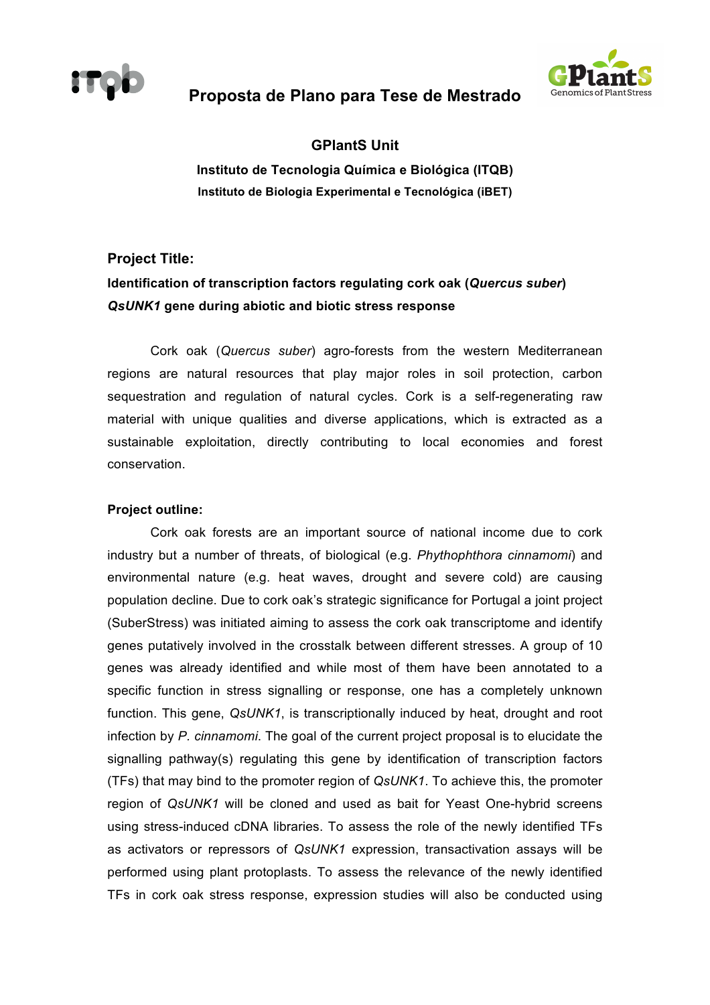

## **Proposta de Plano para Tese de Mestrado**



### **GPlantS Unit**

**Instituto de Tecnologia Química e Biológica (ITQB) Instituto de Biologia Experimental e Tecnológica (iBET)**

# **Project Title: Identification of transcription factors regulating cork oak (***Quercus suber***)**  *QsUNK1* **gene during abiotic and biotic stress response**

Cork oak (*Quercus suber*) agro-forests from the western Mediterranean regions are natural resources that play major roles in soil protection, carbon sequestration and regulation of natural cycles. Cork is a self-regenerating raw material with unique qualities and diverse applications, which is extracted as a sustainable exploitation, directly contributing to local economies and forest conservation.

#### **Project outline:**

Cork oak forests are an important source of national income due to cork industry but a number of threats, of biological (e.g. *Phythophthora cinnamomi*) and environmental nature (e.g. heat waves, drought and severe cold) are causing population decline. Due to cork oak's strategic significance for Portugal a joint project (SuberStress) was initiated aiming to assess the cork oak transcriptome and identify genes putatively involved in the crosstalk between different stresses. A group of 10 genes was already identified and while most of them have been annotated to a specific function in stress signalling or response, one has a completely unknown function. This gene, *QsUNK1*, is transcriptionally induced by heat, drought and root infection by *P. cinnamomi*. The goal of the current project proposal is to elucidate the signalling pathway(s) regulating this gene by identification of transcription factors (TFs) that may bind to the promoter region of *QsUNK1*. To achieve this, the promoter region of *QsUNK1* will be cloned and used as bait for Yeast One-hybrid screens using stress-induced cDNA libraries. To assess the role of the newly identified TFs as activators or repressors of *QsUNK1* expression, transactivation assays will be performed using plant protoplasts. To assess the relevance of the newly identified TFs in cork oak stress response, expression studies will also be conducted using